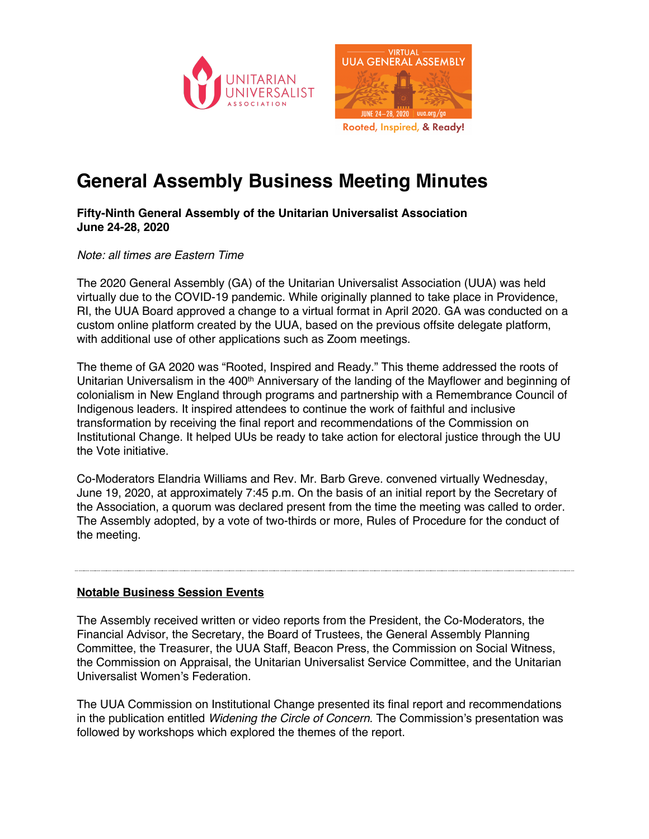



Rooted, Inspired, & Ready!

# **General Assembly Business Meeting Minutes**

# **Fifty-Ninth General Assembly of the Unitarian Universalist Association June 24-28, 2020**

### *Note: all times are Eastern Time*

The 2020 General Assembly (GA) of the Unitarian Universalist Association (UUA) was held virtually due to the COVID-19 pandemic. While originally planned to take place in Providence, RI, the UUA Board approved a change to a virtual format in April 2020. GA was conducted on a custom online platform created by the UUA, based on the previous offsite delegate platform, with additional use of other applications such as Zoom meetings.

The theme of GA 2020 was "Rooted, Inspired and Ready." This theme addressed the roots of Unitarian Universalism in the 400<sup>th</sup> Anniversary of the landing of the Mayflower and beginning of colonialism in New England through programs and partnership with a Remembrance Council of Indigenous leaders. It inspired attendees to continue the work of faithful and inclusive transformation by receiving the final report and recommendations of the Commission on Institutional Change. It helped UUs be ready to take action for electoral justice through the UU the Vote initiative.

Co-Moderators Elandria Williams and Rev. Mr. Barb Greve. convened virtually Wednesday, June 19, 2020, at approximately 7:45 p.m. On the basis of an initial report by the Secretary of the Association, a quorum was declared present from the time the meeting was called to order. The Assembly adopted, by a vote of two-thirds or more, Rules of Procedure for the conduct of the meeting.

# **Notable Business Session Events**

The Assembly received written or video reports from the President, the Co-Moderators, the Financial Advisor, the Secretary, the Board of Trustees, the General Assembly Planning Committee, the Treasurer, the UUA Staff, Beacon Press, the Commission on Social Witness, the Commission on Appraisal, the Unitarian Universalist Service Committee, and the Unitarian Universalist Women's Federation.

The UUA Commission on Institutional Change presented its final report and recommendations in the publication entitled *Widening the Circle of Concern*. The Commission's presentation was followed by workshops which explored the themes of the report.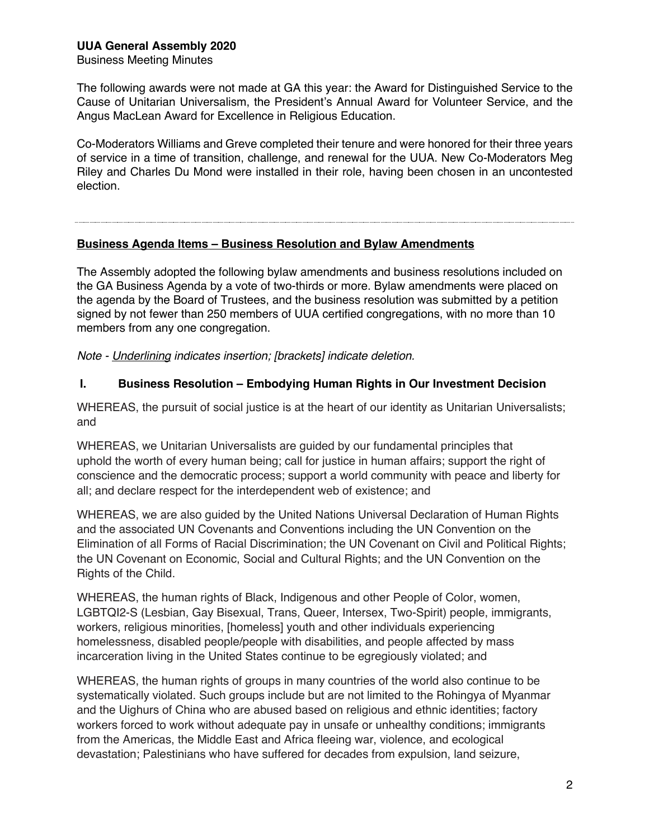Business Meeting Minutes

The following awards were not made at GA this year: the Award for Distinguished Service to the Cause of Unitarian Universalism, the President's Annual Award for Volunteer Service, and the Angus MacLean Award for Excellence in Religious Education.

Co-Moderators Williams and Greve completed their tenure and were honored for their three years of service in a time of transition, challenge, and renewal for the UUA. New Co-Moderators Meg Riley and Charles Du Mond were installed in their role, having been chosen in an uncontested election.

#### **Business Agenda Items – Business Resolution and Bylaw Amendments**

The Assembly adopted the following bylaw amendments and business resolutions included on the GA Business Agenda by a vote of two-thirds or more. Bylaw amendments were placed on the agenda by the Board of Trustees, and the business resolution was submitted by a petition signed by not fewer than 250 members of UUA certified congregations, with no more than 10 members from any one congregation.

*Note - Underlining indicates insertion; [brackets] indicate deletion.*

### **I. Business Resolution – Embodying Human Rights in Our Investment Decision**

WHEREAS, the pursuit of social justice is at the heart of our identity as Unitarian Universalists; and

WHEREAS, we Unitarian Universalists are guided by our fundamental principles that uphold the worth of every human being; call for justice in human affairs: support the right of conscience and the democratic process; support a world community with peace and liberty for all; and declare respect for the interdependent web of existence; and

WHEREAS, we are also guided by the United Nations Universal Declaration of Human Rights and the associated UN Covenants and Conventions including the UN Convention on the Elimination of all Forms of Racial Discrimination; the UN Covenant on Civil and Political Rights; the UN Covenant on Economic, Social and Cultural Rights; and the UN Convention on the Rights of the Child.

WHEREAS, the human rights of Black, Indigenous and other People of Color, women, LGBTQI2-S (Lesbian, Gay Bisexual, Trans, Queer, Intersex, Two-Spirit) people, immigrants, workers, religious minorities, [homeless] youth and other individuals experiencing homelessness, disabled people/people with disabilities, and people affected by mass incarceration living in the United States continue to be egregiously violated; and

WHEREAS, the human rights of groups in many countries of the world also continue to be systematically violated. Such groups include but are not limited to the Rohingya of Myanmar and the Uighurs of China who are abused based on religious and ethnic identities; factory workers forced to work without adequate pay in unsafe or unhealthy conditions; immigrants from the Americas, the Middle East and Africa fleeing war, violence, and ecological devastation; Palestinians who have suffered for decades from expulsion, land seizure,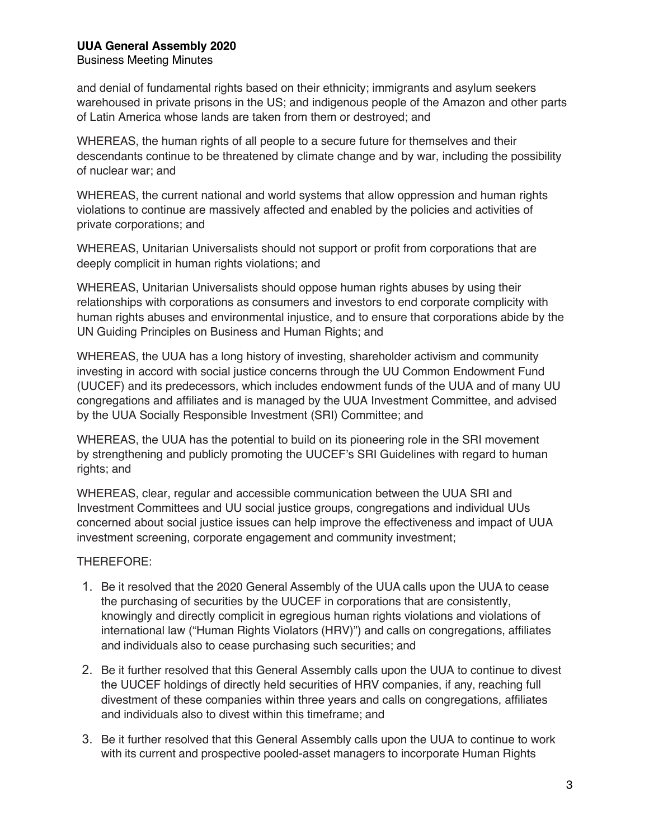#### Business Meeting Minutes

and denial of fundamental rights based on their ethnicity; immigrants and asylum seekers warehoused in private prisons in the US; and indigenous people of the Amazon and other parts of Latin America whose lands are taken from them or destroyed; and

WHEREAS, the human rights of all people to a secure future for themselves and their descendants continue to be threatened by climate change and by war, including the possibility of nuclear war; and

WHEREAS, the current national and world systems that allow oppression and human rights violations to continue are massively affected and enabled by the policies and activities of private corporations; and

WHEREAS, Unitarian Universalists should not support or profit from corporations that are deeply complicit in human rights violations; and

WHEREAS, Unitarian Universalists should oppose human rights abuses by using their relationships with corporations as consumers and investors to end corporate complicity with human rights abuses and environmental injustice, and to ensure that corporations abide by the UN Guiding Principles on Business and Human Rights; and

WHEREAS, the UUA has a long history of investing, shareholder activism and community investing in accord with social justice concerns through the UU Common Endowment Fund (UUCEF) and its predecessors, which includes endowment funds of the UUA and of many UU congregations and affiliates and is managed by the UUA Investment Committee, and advised by the UUA Socially Responsible Investment (SRI) Committee; and

WHEREAS, the UUA has the potential to build on its pioneering role in the SRI movement by strengthening and publicly promoting the UUCEF's SRI Guidelines with regard to human rights; and

WHEREAS, clear, regular and accessible communication between the UUA SRI and Investment Committees and UU social justice groups, congregations and individual UUs concerned about social justice issues can help improve the effectiveness and impact of UUA investment screening, corporate engagement and community investment;

#### THEREFORE:

- 1. Be it resolved that the 2020 General Assembly of the UUA calls upon the UUA to cease the purchasing of securities by the UUCEF in corporations that are consistently, knowingly and directly complicit in egregious human rights violations and violations of international law ("Human Rights Violators (HRV)") and calls on congregations, affiliates and individuals also to cease purchasing such securities; and
- 2. Be it further resolved that this General Assembly calls upon the UUA to continue to divest the UUCEF holdings of directly held securities of HRV companies, if any, reaching full divestment of these companies within three years and calls on congregations, affiliates and individuals also to divest within this timeframe; and
- 3. Be it further resolved that this General Assembly calls upon the UUA to continue to work with its current and prospective pooled-asset managers to incorporate Human Rights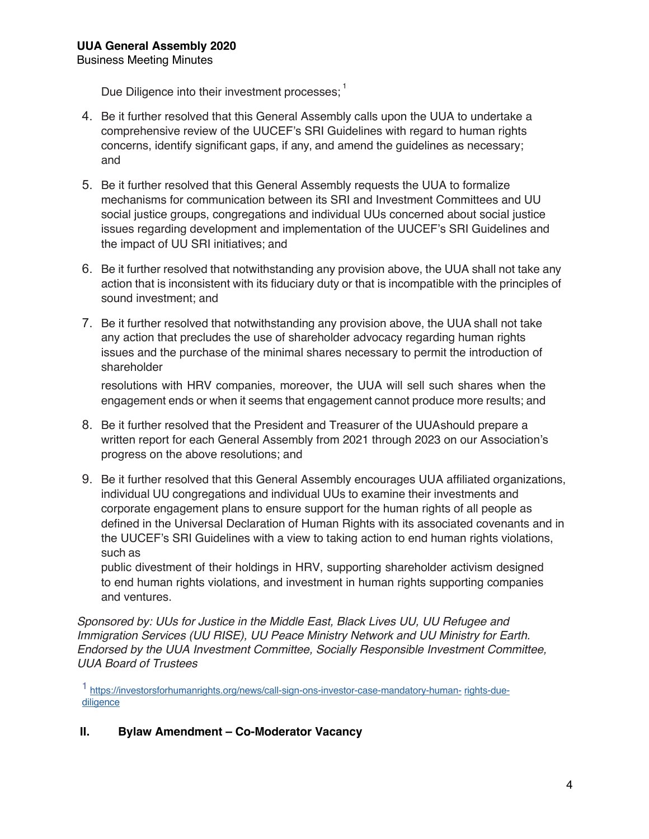Due Diligence into their investment processes;  $\frac{1}{1}$ 

- 4. Be it further resolved that this General Assembly calls upon the UUA to undertake a comprehensive review of the UUCEF's SRI Guidelines with regard to human rights concerns, identify significant gaps, if any, and amend the guidelines as necessary; and
- 5. Be it further resolved that this General Assembly requests the UUA to formalize mechanisms for communication between its SRI and Investment Committees and UU social justice groups, congregations and individual UUs concerned about social justice issues regarding development and implementation of the UUCEF's SRI Guidelines and the impact of UU SRI initiatives; and
- 6. Be it further resolved that notwithstanding any provision above, the UUA shall not take any action that is inconsistent with its fiduciary duty or that is incompatible with the principles of sound investment; and
- 7. Be it further resolved that notwithstanding any provision above, the UUA shall not take any action that precludes the use of shareholder advocacy regarding human rights issues and the purchase of the minimal shares necessary to permit the introduction of shareholder

resolutions with HRV companies, moreover, the UUA will sell such shares when the engagement ends or when it seems that engagement cannot produce more results; and

- 8. Be it further resolved that the President and Treasurer of the UUAshould prepare a written report for each General Assembly from 2021 through 2023 on our Association's progress on the above resolutions; and
- 9. Be it further resolved that this General Assembly encourages UUA affiliated organizations, individual UU congregations and individual UUs to examine their investments and corporate engagement plans to ensure support for the human rights of all people as defined in the Universal Declaration of Human Rights with its associated covenants and in the UUCEF's SRI Guidelines with a view to taking action to end human rights violations, such as

public divestment of their holdings in HRV, supporting shareholder activism designed to end human rights violations, and investment in human rights supporting companies and ventures.

*Sponsored by: UUs for Justice in the Middle East, Black Lives UU, UU Refugee and Immigration Services (UU RISE), UU Peace Ministry Network and UU Ministry for Earth. Endorsed by the UUA Investment Committee, Socially Responsible Investment Committee, UUA Board of Trustees* 

1 https://investorsforhumanrights.org/news/call-sign-ons-investor-case-mandatory-human- rights-duediligence

# **II. Bylaw Amendment – Co-Moderator Vacancy**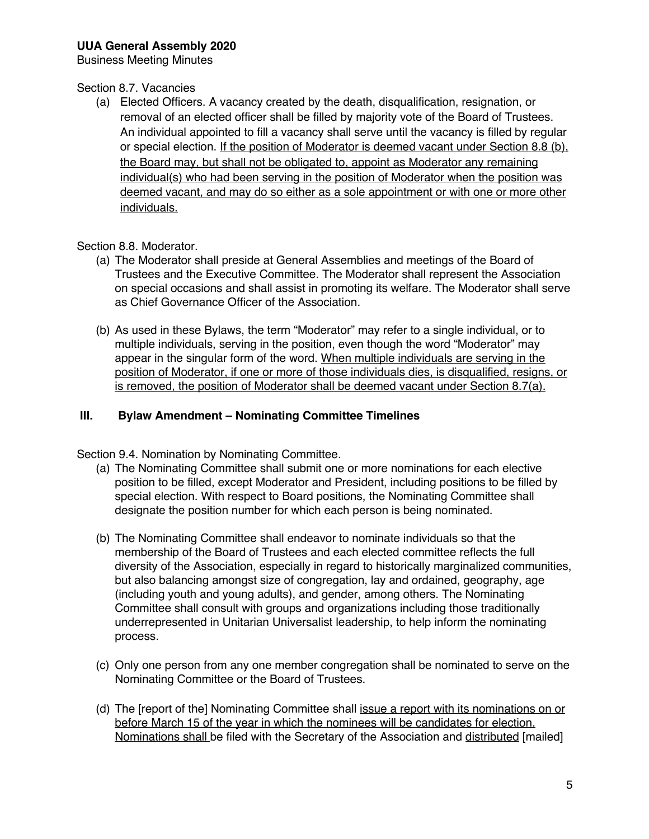Business Meeting Minutes

#### Section 8.7. Vacancies

(a) Elected Officers. A vacancy created by the death, disqualification, resignation, or removal of an elected officer shall be filled by majority vote of the Board of Trustees. An individual appointed to fill a vacancy shall serve until the vacancy is filled by regular or special election. If the position of Moderator is deemed vacant under Section 8.8 (b), the Board may, but shall not be obligated to, appoint as Moderator any remaining individual(s) who had been serving in the position of Moderator when the position was deemed vacant, and may do so either as a sole appointment or with one or more other individuals.

#### Section 8.8. Moderator.

- (a) The Moderator shall preside at General Assemblies and meetings of the Board of Trustees and the Executive Committee. The Moderator shall represent the Association on special occasions and shall assist in promoting its welfare. The Moderator shall serve as Chief Governance Officer of the Association.
- (b) As used in these Bylaws, the term "Moderator" may refer to a single individual, or to multiple individuals, serving in the position, even though the word "Moderator" may appear in the singular form of the word. When multiple individuals are serving in the position of Moderator, if one or more of those individuals dies, is disqualified, resigns, or is removed, the position of Moderator shall be deemed vacant under Section 8.7(a).

#### **III. Bylaw Amendment – Nominating Committee Timelines**

Section 9.4. Nomination by Nominating Committee.

- (a) The Nominating Committee shall submit one or more nominations for each elective position to be filled, except Moderator and President, including positions to be filled by special election. With respect to Board positions, the Nominating Committee shall designate the position number for which each person is being nominated.
- (b) The Nominating Committee shall endeavor to nominate individuals so that the membership of the Board of Trustees and each elected committee reflects the full diversity of the Association, especially in regard to historically marginalized communities, but also balancing amongst size of congregation, lay and ordained, geography, age (including youth and young adults), and gender, among others. The Nominating Committee shall consult with groups and organizations including those traditionally underrepresented in Unitarian Universalist leadership, to help inform the nominating process.
- (c) Only one person from any one member congregation shall be nominated to serve on the Nominating Committee or the Board of Trustees.
- (d) The [report of the] Nominating Committee shall issue a report with its nominations on or before March 15 of the year in which the nominees will be candidates for election. Nominations shall be filed with the Secretary of the Association and distributed [mailed]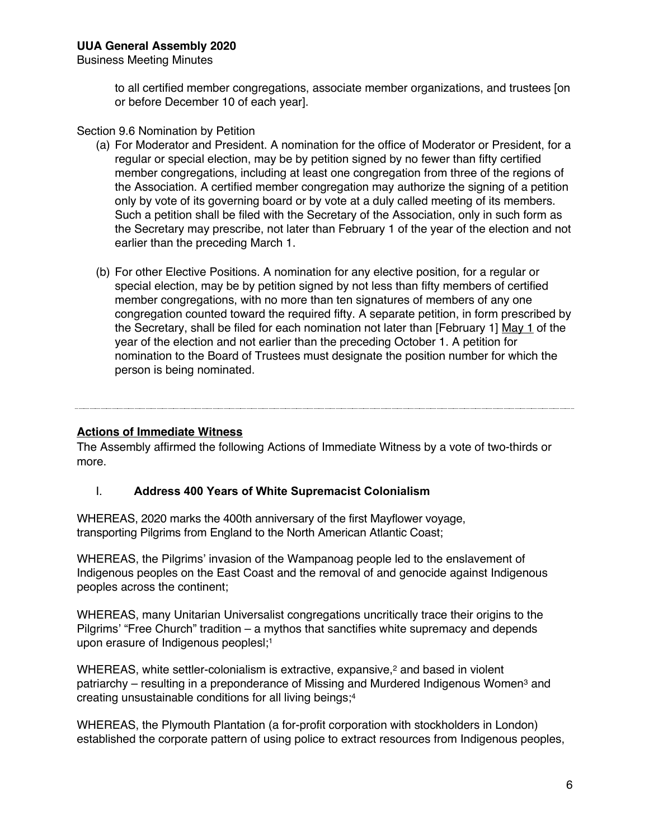to all certified member congregations, associate member organizations, and trustees [on or before December 10 of each year].

Section 9.6 Nomination by Petition

- (a) For Moderator and President. A nomination for the office of Moderator or President, for a regular or special election, may be by petition signed by no fewer than fifty certified member congregations, including at least one congregation from three of the regions of the Association. A certified member congregation may authorize the signing of a petition only by vote of its governing board or by vote at a duly called meeting of its members. Such a petition shall be filed with the Secretary of the Association, only in such form as the Secretary may prescribe, not later than February 1 of the year of the election and not earlier than the preceding March 1.
- (b) For other Elective Positions. A nomination for any elective position, for a regular or special election, may be by petition signed by not less than fifty members of certified member congregations, with no more than ten signatures of members of any one congregation counted toward the required fifty. A separate petition, in form prescribed by the Secretary, shall be filed for each nomination not later than [February 1] May 1 of the year of the election and not earlier than the preceding October 1. A petition for nomination to the Board of Trustees must designate the position number for which the person is being nominated.

#### **Actions of Immediate Witness**

The Assembly affirmed the following Actions of Immediate Witness by a vote of two-thirds or more.

#### I. **Address 400 Years of White Supremacist Colonialism**

WHEREAS, 2020 marks the 400th anniversary of the first Mayflower voyage, transporting Pilgrims from England to the North American Atlantic Coast;

WHEREAS, the Pilgrims' invasion of the Wampanoag people led to the enslavement of Indigenous peoples on the East Coast and the removal of and genocide against Indigenous peoples across the continent;

WHEREAS, many Unitarian Universalist congregations uncritically trace their origins to the Pilgrims' "Free Church" tradition – a mythos that sanctifies white supremacy and depends upon erasure of Indigenous peoplesl;<sup>1</sup>

WHEREAS, white settler-colonialism is extractive, expansive, <sup>2</sup> and based in violent patriarchy – resulting in a preponderance of Missing and Murdered Indigenous Women<sup>3</sup> and creating unsustainable conditions for all living beings;4

WHEREAS, the Plymouth Plantation (a for-profit corporation with stockholders in London) established the corporate pattern of using police to extract resources from Indigenous peoples,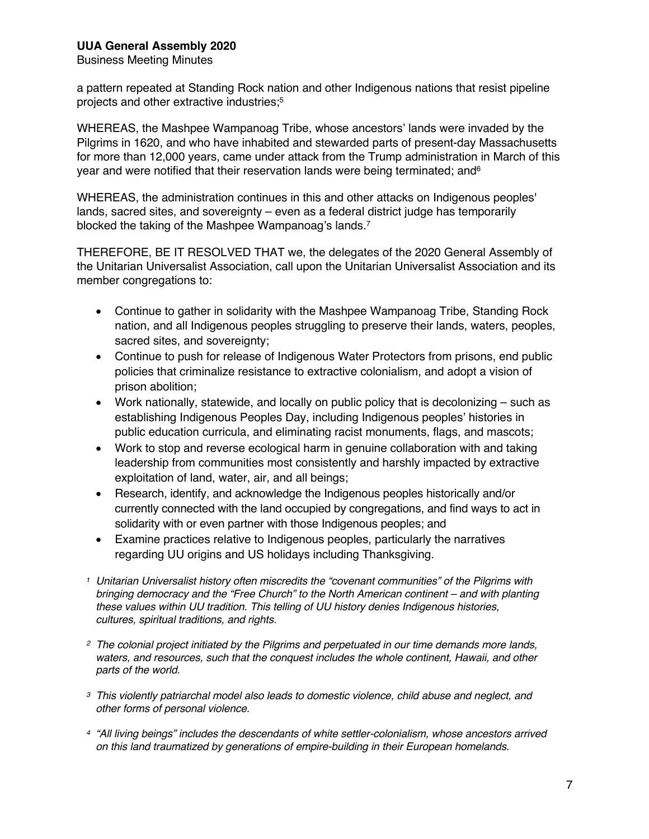Business Meeting Minutes

a pattern repeated at Standing Rock nation and other Indigenous nations that resist pipeline projects and other extractive industries;5

WHEREAS, the Mashpee Wampanoag Tribe, whose ancestors' lands were invaded by the Pilgrims in 1620, and who have inhabited and stewarded parts of present-day Massachusetts for more than 12,000 years, came under attack from the Trump administration in March of this year and were notified that their reservation lands were being terminated; and  $6$ 

WHEREAS, the administration continues in this and other attacks on Indigenous peoples' lands, sacred sites, and sovereignty – even as a federal district judge has temporarily blocked the taking of the Mashpee Wampanoag's lands.7

THEREFORE, BE IT RESOLVED THAT we, the delegates of the 2020 General Assembly of the Unitarian Universalist Association, call upon the Unitarian Universalist Association and its member congregations to:

- Continue to gather in solidarity with the Mashpee Wampanoag Tribe, Standing Rock nation, and all Indigenous peoples struggling to preserve their lands, waters, peoples, sacred sites, and sovereignty;
- Continue to push for release of Indigenous Water Protectors from prisons, end public policies that criminalize resistance to extractive colonialism, and adopt a vision of prison abolition;
- Work nationally, statewide, and locally on public policy that is decolonizing such as establishing Indigenous Peoples Day, including Indigenous peoples' histories in public education curricula, and eliminating racist monuments, flags, and mascots;
- Work to stop and reverse ecological harm in genuine collaboration with and taking leadership from communities most consistently and harshly impacted by extractive exploitation of land, water, air, and all beings;
- Research, identify, and acknowledge the Indigenous peoples historically and/or currently connected with the land occupied by congregations, and find ways to act in solidarity with or even partner with those Indigenous peoples; and
- Examine practices relative to Indigenous peoples, particularly the narratives regarding UU origins and US holidays including Thanksgiving.
- *<sup>1</sup> Unitarian Universalist history often miscredits the "covenant communities" of the Pilgrims with bringing democracy and the "Free Church" to the North American continent – and with planting these values within UU tradition. This telling of UU history denies Indigenous histories, cultures, spiritual traditions, and rights.*
- *2 The colonial project initiated by the Pilgrims and perpetuated in our time demands more lands, waters, and resources, such that the conquest includes the whole continent, Hawaii, and other parts of the world.*
- *3 This violently patriarchal model also leads to domestic violence, child abuse and neglect, and other forms of personal violence.*
- *<sup>4</sup> "All living beings" includes the descendants of white settler-colonialism, whose ancestors arrived on this land traumatized by generations of empire-building in their European homelands.*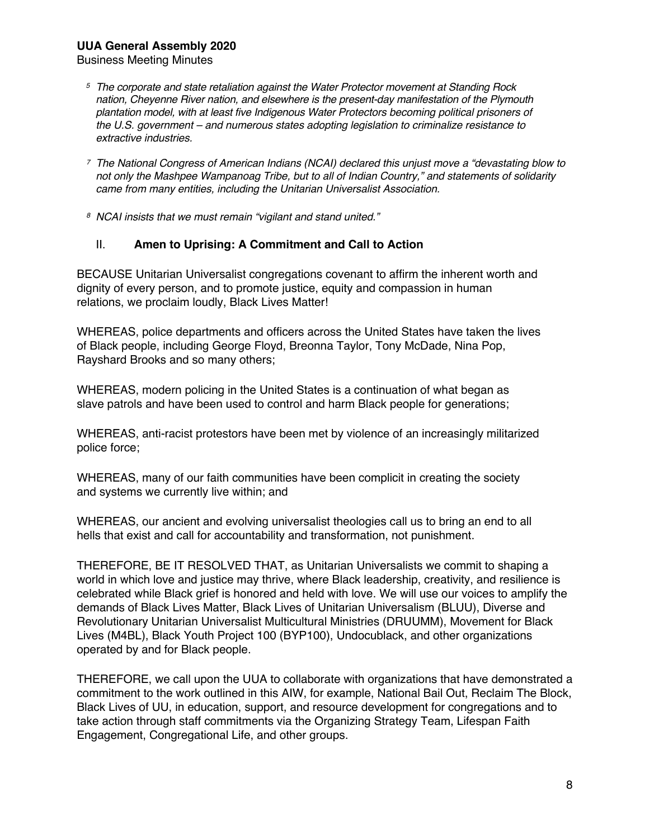Business Meeting Minutes

- *<sup>5</sup> The corporate and state retaliation against the Water Protector movement at Standing Rock nation, Cheyenne River nation, and elsewhere is the present-day manifestation of the Plymouth plantation model, with at least five Indigenous Water Protectors becoming political prisoners of the U.S. government – and numerous states adopting legislation to criminalize resistance to extractive industries.*
- *7 The National Congress of American Indians (NCAI) declared this unjust move a "devastating blow to not only the Mashpee Wampanoag Tribe, but to all of Indian Country," and statements of solidarity came from many entities, including the Unitarian Universalist Association.*
- *8 NCAI insists that we must remain "vigilant and stand united."*

#### II. **Amen to Uprising: A Commitment and Call to Action**

BECAUSE Unitarian Universalist congregations covenant to affirm the inherent worth and dignity of every person, and to promote justice, equity and compassion in human relations, we proclaim loudly, Black Lives Matter!

WHEREAS, police departments and officers across the United States have taken the lives of Black people, including George Floyd, Breonna Taylor, Tony McDade, Nina Pop, Rayshard Brooks and so many others;

WHEREAS, modern policing in the United States is a continuation of what began as slave patrols and have been used to control and harm Black people for generations;

WHEREAS, anti-racist protestors have been met by violence of an increasingly militarized police force;

WHEREAS, many of our faith communities have been complicit in creating the society and systems we currently live within; and

WHEREAS, our ancient and evolving universalist theologies call us to bring an end to all hells that exist and call for accountability and transformation, not punishment.

THEREFORE, BE IT RESOLVED THAT, as Unitarian Universalists we commit to shaping a world in which love and justice may thrive, where Black leadership, creativity, and resilience is celebrated while Black grief is honored and held with love. We will use our voices to amplify the demands of Black Lives Matter, Black Lives of Unitarian Universalism (BLUU), Diverse and Revolutionary Unitarian Universalist Multicultural Ministries (DRUUMM), Movement for Black Lives (M4BL), Black Youth Project 100 (BYP100), Undocublack, and other organizations operated by and for Black people.

THEREFORE, we call upon the UUA to collaborate with organizations that have demonstrated a commitment to the work outlined in this AIW, for example, National Bail Out, Reclaim The Block, Black Lives of UU, in education, support, and resource development for congregations and to take action through staff commitments via the Organizing Strategy Team, Lifespan Faith Engagement, Congregational Life, and other groups.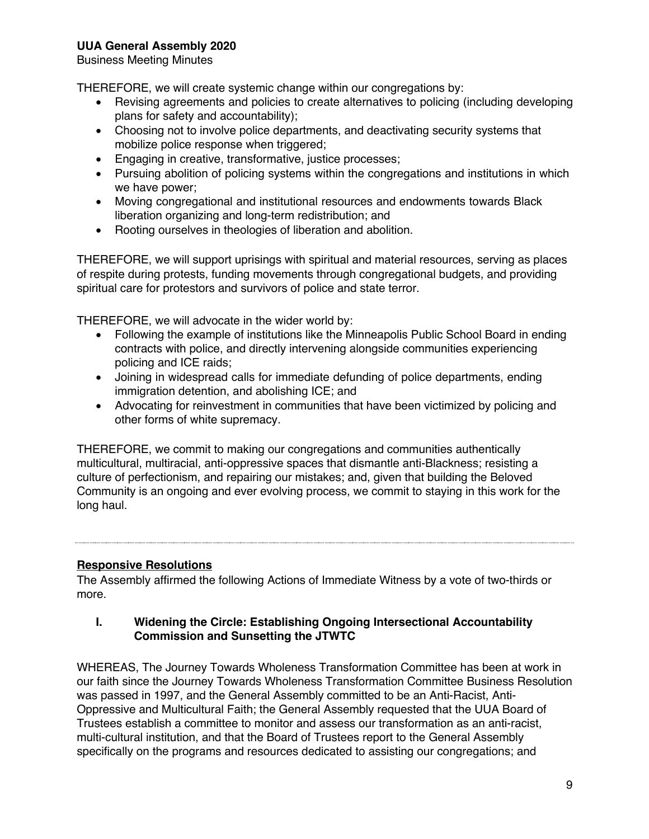Business Meeting Minutes

THEREFORE, we will create systemic change within our congregations by:

- Revising agreements and policies to create alternatives to policing (including developing plans for safety and accountability);
- Choosing not to involve police departments, and deactivating security systems that mobilize police response when triggered;
- Engaging in creative, transformative, justice processes;
- Pursuing abolition of policing systems within the congregations and institutions in which we have power;
- Moving congregational and institutional resources and endowments towards Black liberation organizing and long-term redistribution; and
- Rooting ourselves in theologies of liberation and abolition.

THEREFORE, we will support uprisings with spiritual and material resources, serving as places of respite during protests, funding movements through congregational budgets, and providing spiritual care for protestors and survivors of police and state terror.

THEREFORE, we will advocate in the wider world by:

- Following the example of institutions like the Minneapolis Public School Board in ending contracts with police, and directly intervening alongside communities experiencing policing and ICE raids;
- Joining in widespread calls for immediate defunding of police departments, ending immigration detention, and abolishing ICE; and
- Advocating for reinvestment in communities that have been victimized by policing and other forms of white supremacy.

THEREFORE, we commit to making our congregations and communities authentically multicultural, multiracial, anti-oppressive spaces that dismantle anti-Blackness; resisting a culture of perfectionism, and repairing our mistakes; and, given that building the Beloved Community is an ongoing and ever evolving process, we commit to staying in this work for the long haul.

# **Responsive Resolutions**

The Assembly affirmed the following Actions of Immediate Witness by a vote of two-thirds or more.

#### **I. Widening the Circle: Establishing Ongoing Intersectional Accountability Commission and Sunsetting the JTWTC**

WHEREAS, The Journey Towards Wholeness Transformation Committee has been at work in our faith since the Journey Towards Wholeness Transformation Committee Business Resolution was passed in 1997, and the General Assembly committed to be an Anti-Racist, Anti-Oppressive and Multicultural Faith; the General Assembly requested that the UUA Board of Trustees establish a committee to monitor and assess our transformation as an anti-racist, multi-cultural institution, and that the Board of Trustees report to the General Assembly specifically on the programs and resources dedicated to assisting our congregations; and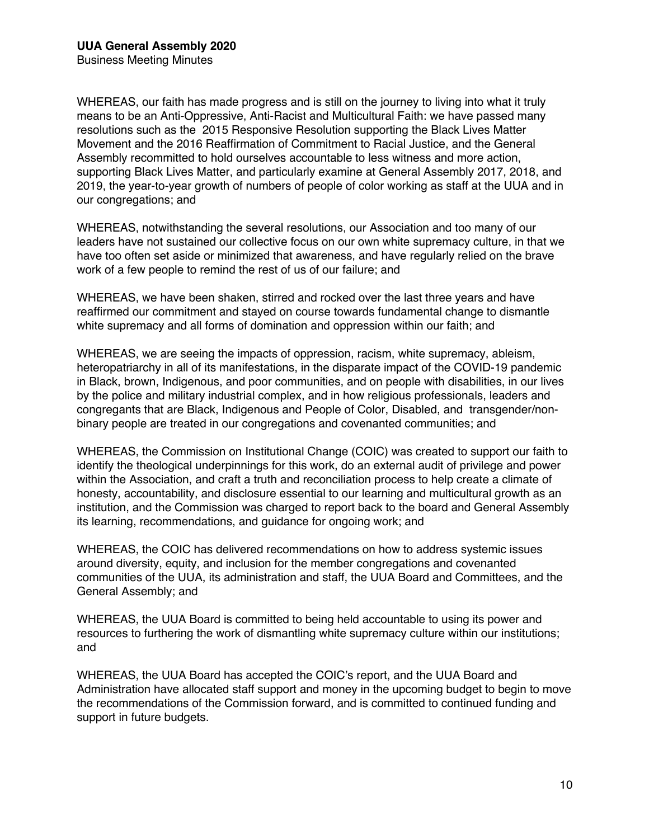WHEREAS, our faith has made progress and is still on the journey to living into what it truly means to be an Anti-Oppressive, Anti-Racist and Multicultural Faith: we have passed many resolutions such as the 2015 Responsive Resolution supporting the Black Lives Matter Movement and the 2016 Reaffirmation of Commitment to Racial Justice, and the General Assembly recommitted to hold ourselves accountable to less witness and more action, supporting Black Lives Matter, and particularly examine at General Assembly 2017, 2018, and 2019, the year-to-year growth of numbers of people of color working as staff at the UUA and in our congregations; and

WHEREAS, notwithstanding the several resolutions, our Association and too many of our leaders have not sustained our collective focus on our own white supremacy culture, in that we have too often set aside or minimized that awareness, and have regularly relied on the brave work of a few people to remind the rest of us of our failure; and

WHEREAS, we have been shaken, stirred and rocked over the last three years and have reaffirmed our commitment and stayed on course towards fundamental change to dismantle white supremacy and all forms of domination and oppression within our faith; and

WHEREAS, we are seeing the impacts of oppression, racism, white supremacy, ableism, heteropatriarchy in all of its manifestations, in the disparate impact of the COVID-19 pandemic in Black, brown, Indigenous, and poor communities, and on people with disabilities, in our lives by the police and military industrial complex, and in how religious professionals, leaders and congregants that are Black, Indigenous and People of Color, Disabled, and transgender/nonbinary people are treated in our congregations and covenanted communities; and

WHEREAS, the Commission on Institutional Change (COIC) was created to support our faith to identify the theological underpinnings for this work, do an external audit of privilege and power within the Association, and craft a truth and reconciliation process to help create a climate of honesty, accountability, and disclosure essential to our learning and multicultural growth as an institution, and the Commission was charged to report back to the board and General Assembly its learning, recommendations, and guidance for ongoing work; and

WHEREAS, the COIC has delivered recommendations on how to address systemic issues around diversity, equity, and inclusion for the member congregations and covenanted communities of the UUA, its administration and staff, the UUA Board and Committees, and the General Assembly; and

WHEREAS, the UUA Board is committed to being held accountable to using its power and resources to furthering the work of dismantling white supremacy culture within our institutions; and

WHEREAS, the UUA Board has accepted the COIC's report, and the UUA Board and Administration have allocated staff support and money in the upcoming budget to begin to move the recommendations of the Commission forward, and is committed to continued funding and support in future budgets.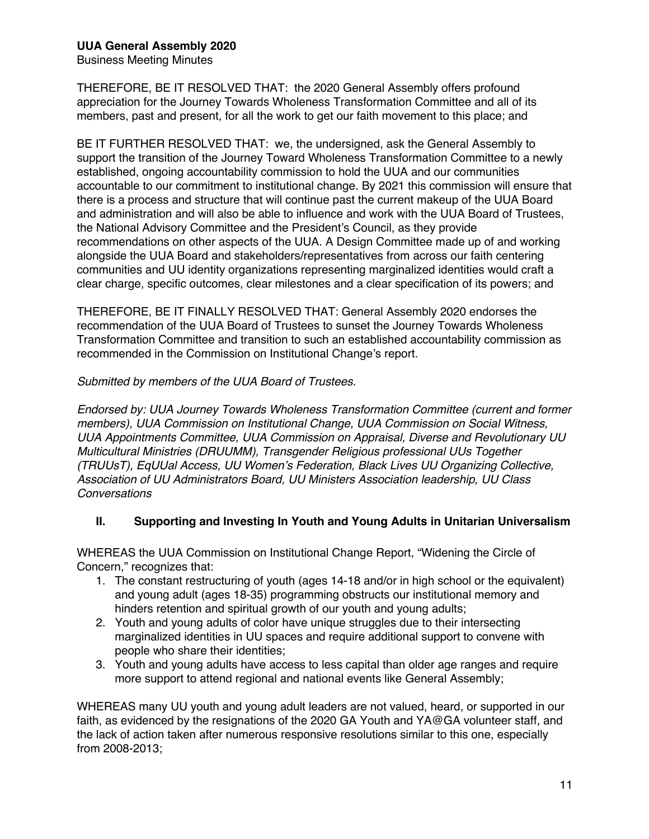Business Meeting Minutes

THEREFORE, BE IT RESOLVED THAT: the 2020 General Assembly offers profound appreciation for the Journey Towards Wholeness Transformation Committee and all of its members, past and present, for all the work to get our faith movement to this place; and

BE IT FURTHER RESOLVED THAT: we, the undersigned, ask the General Assembly to support the transition of the Journey Toward Wholeness Transformation Committee to a newly established, ongoing accountability commission to hold the UUA and our communities accountable to our commitment to institutional change. By 2021 this commission will ensure that there is a process and structure that will continue past the current makeup of the UUA Board and administration and will also be able to influence and work with the UUA Board of Trustees, the National Advisory Committee and the President's Council, as they provide recommendations on other aspects of the UUA. A Design Committee made up of and working alongside the UUA Board and stakeholders/representatives from across our faith centering communities and UU identity organizations representing marginalized identities would craft a clear charge, specific outcomes, clear milestones and a clear specification of its powers; and

THEREFORE, BE IT FINALLY RESOLVED THAT: General Assembly 2020 endorses the recommendation of the UUA Board of Trustees to sunset the Journey Towards Wholeness Transformation Committee and transition to such an established accountability commission as recommended in the Commission on Institutional Change's report.

*Submitted by members of the UUA Board of Trustees.*

*Endorsed by: UUA Journey Towards Wholeness Transformation Committee (current and former members), UUA Commission on Institutional Change, UUA Commission on Social Witness, UUA Appointments Committee, UUA Commission on Appraisal, Diverse and Revolutionary UU Multicultural Ministries (DRUUMM), Transgender Religious professional UUs Together (TRUUsT), EqUUal Access, UU Women's Federation, Black Lives UU Organizing Collective, Association of UU Administrators Board, UU Ministers Association leadership, UU Class Conversations*

# **II. Supporting and Investing In Youth and Young Adults in Unitarian Universalism**

WHEREAS the UUA Commission on Institutional Change Report, "Widening the Circle of Concern," recognizes that:

- 1. The constant restructuring of youth (ages 14-18 and/or in high school or the equivalent) and young adult (ages 18-35) programming obstructs our institutional memory and hinders retention and spiritual growth of our youth and young adults;
- 2. Youth and young adults of color have unique struggles due to their intersecting marginalized identities in UU spaces and require additional support to convene with people who share their identities;
- 3. Youth and young adults have access to less capital than older age ranges and require more support to attend regional and national events like General Assembly;

WHEREAS many UU youth and young adult leaders are not valued, heard, or supported in our faith, as evidenced by the resignations of the 2020 GA Youth and YA@GA volunteer staff, and the lack of action taken after numerous responsive resolutions similar to this one, especially from 2008-2013;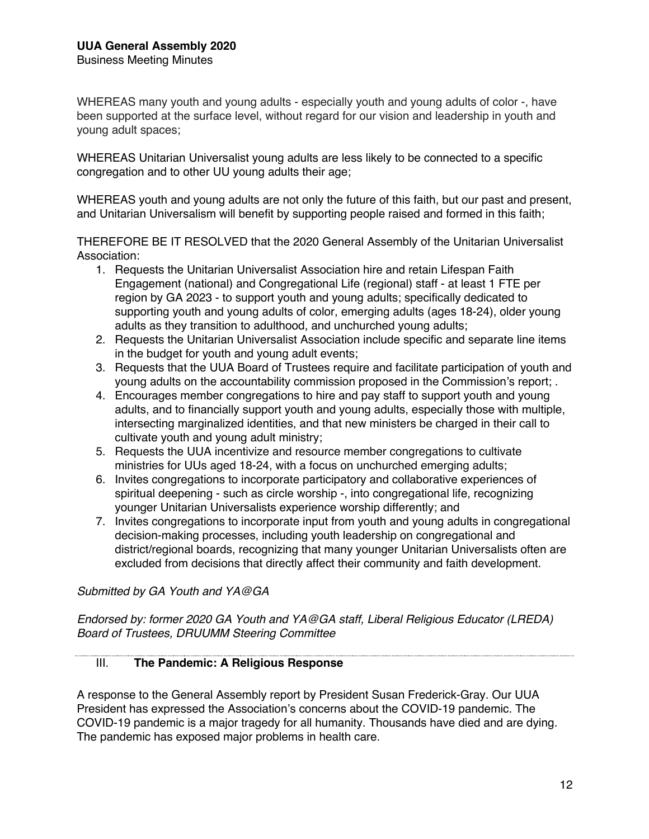WHEREAS many youth and young adults - especially youth and young adults of color -, have been supported at the surface level, without regard for our vision and leadership in youth and young adult spaces;

WHEREAS Unitarian Universalist young adults are less likely to be connected to a specific congregation and to other UU young adults their age;

WHEREAS youth and young adults are not only the future of this faith, but our past and present, and Unitarian Universalism will benefit by supporting people raised and formed in this faith;

THEREFORE BE IT RESOLVED that the 2020 General Assembly of the Unitarian Universalist Association:

- 1. Requests the Unitarian Universalist Association hire and retain Lifespan Faith Engagement (national) and Congregational Life (regional) staff - at least 1 FTE per region by GA 2023 - to support youth and young adults; specifically dedicated to supporting youth and young adults of color, emerging adults (ages 18-24), older young adults as they transition to adulthood, and unchurched young adults;
- 2. Requests the Unitarian Universalist Association include specific and separate line items in the budget for youth and young adult events;
- 3. Requests that the UUA Board of Trustees require and facilitate participation of youth and young adults on the accountability commission proposed in the Commission's report; .
- 4. Encourages member congregations to hire and pay staff to support youth and young adults, and to financially support youth and young adults, especially those with multiple, intersecting marginalized identities, and that new ministers be charged in their call to cultivate youth and young adult ministry;
- 5. Requests the UUA incentivize and resource member congregations to cultivate ministries for UUs aged 18-24, with a focus on unchurched emerging adults;
- 6. Invites congregations to incorporate participatory and collaborative experiences of spiritual deepening - such as circle worship -, into congregational life, recognizing younger Unitarian Universalists experience worship differently; and
- 7. Invites congregations to incorporate input from youth and young adults in congregational decision-making processes, including youth leadership on congregational and district/regional boards, recognizing that many younger Unitarian Universalists often are excluded from decisions that directly affect their community and faith development.

*Submitted by GA Youth and YA@GA*

*Endorsed by: former 2020 GA Youth and YA@GA staff, Liberal Religious Educator (LREDA) Board of Trustees, DRUUMM Steering Committee*

# III. **The Pandemic: A Religious Response**

A response to the General Assembly report by President Susan Frederick-Gray. Our UUA President has expressed the Association's concerns about the COVID-19 pandemic. The COVID-19 pandemic is a major tragedy for all humanity. Thousands have died and are dying. The pandemic has exposed major problems in health care.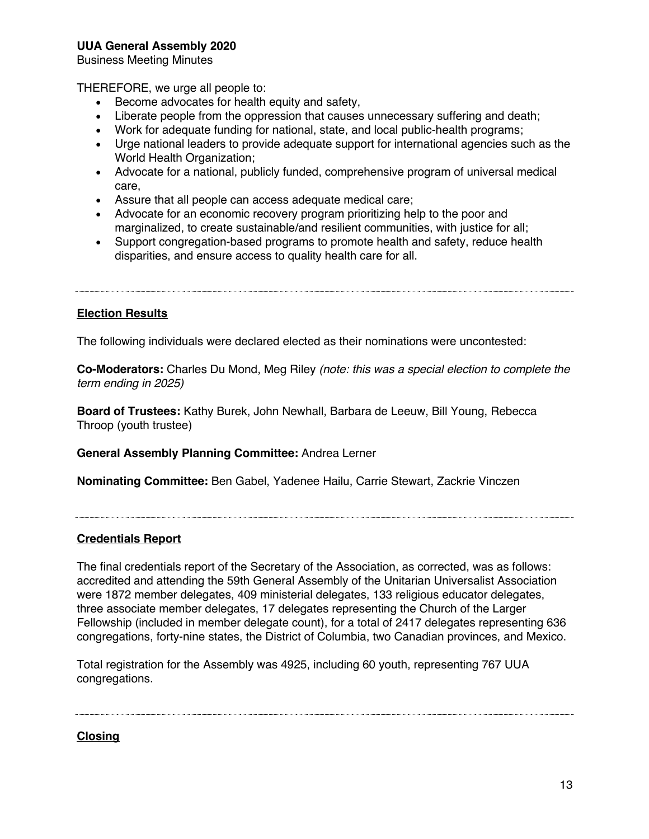Business Meeting Minutes

THEREFORE, we urge all people to:

- Become advocates for health equity and safety,
- Liberate people from the oppression that causes unnecessary suffering and death;
- Work for adequate funding for national, state, and local public-health programs;
- Urge national leaders to provide adequate support for international agencies such as the World Health Organization;
- Advocate for a national, publicly funded, comprehensive program of universal medical care,
- Assure that all people can access adequate medical care;
- Advocate for an economic recovery program prioritizing help to the poor and marginalized, to create sustainable/and resilient communities, with justice for all;
- Support congregation-based programs to promote health and safety, reduce health disparities, and ensure access to quality health care for all.

#### **Election Results**

The following individuals were declared elected as their nominations were uncontested:

**Co-Moderators:** Charles Du Mond, Meg Riley *(note: this was a special election to complete the term ending in 2025)*

**Board of Trustees:** Kathy Burek, John Newhall, Barbara de Leeuw, Bill Young, Rebecca Throop (youth trustee)

**General Assembly Planning Committee:** Andrea Lerner

**Nominating Committee:** Ben Gabel, Yadenee Hailu, Carrie Stewart, Zackrie Vinczen

#### **Credentials Report**

The final credentials report of the Secretary of the Association, as corrected, was as follows: accredited and attending the 59th General Assembly of the Unitarian Universalist Association were 1872 member delegates, 409 ministerial delegates, 133 religious educator delegates, three associate member delegates, 17 delegates representing the Church of the Larger Fellowship (included in member delegate count), for a total of 2417 delegates representing 636 congregations, forty-nine states, the District of Columbia, two Canadian provinces, and Mexico.

Total registration for the Assembly was 4925, including 60 youth, representing 767 UUA congregations.

**Closing**